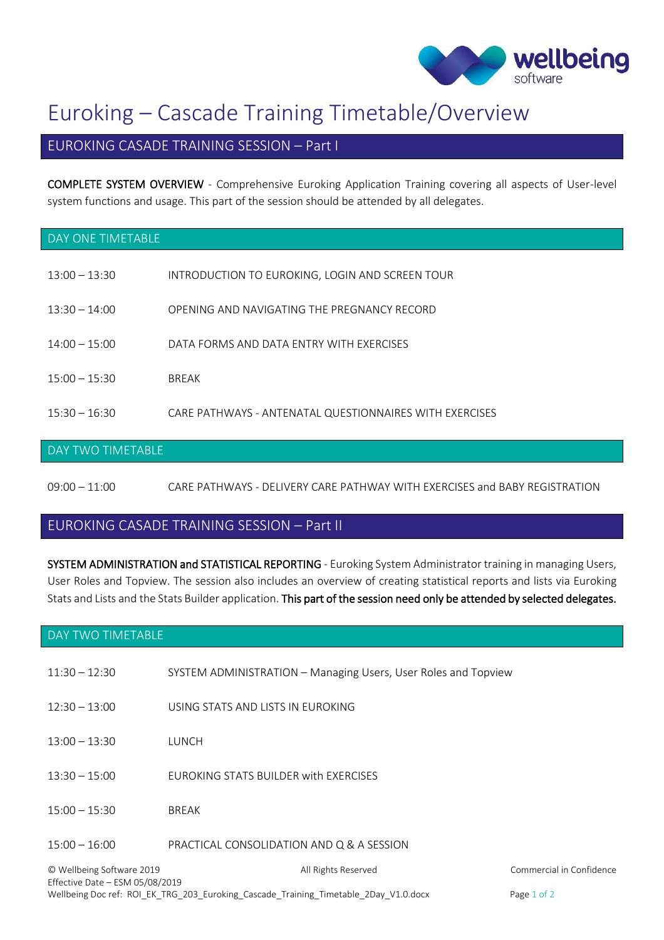

# Euroking – Cascade Training Timetable/Overview

## EUROKING CASADE TRAINING SESSION – Part I

COMPLETE SYSTEM OVERVIEW - Comprehensive Euroking Application Training covering all aspects of User-level system functions and usage. This part of the session should be attended by all delegates.

#### DAY ONE TIMETABLE

- 13:00 13:30 INTRODUCTION TO EUROKING, LOGIN AND SCREEN TOUR
- 13:30 14:00 OPENING AND NAVIGATING THE PREGNANCY RECORD
- 14:00 15:00 DATA FORMS AND DATA ENTRY WITH EXERCISES
- 15:00 15:30 BREAK
- 15:30 16:30 CARE PATHWAYS ANTENATAL QUESTIONNAIRES WITH EXERCISES

#### DAY TWO TIMETABLE

09:00 – 11:00 CARE PATHWAYS - DELIVERY CARE PATHWAY WITH EXERCISES and BABY REGISTRATION

### EUROKING CASADE TRAINING SESSION – Part II

SYSTEM ADMINISTRATION and STATISTICAL REPORTING - Euroking System Administrator training in managing Users, User Roles and Topview. The session also includes an overview of creating statistical reports and lists via Euroking Stats and Lists and the Stats Builder application. This part of the session need only be attended by selected delegates.

#### DAY TWO TIMETABLE

- 11:30 12:30 SYSTEM ADMINISTRATION Managing Users, User Roles and Topview 12:30 – 13:00 USING STATS AND LISTS IN EUROKING 13:00 – 13:30 LUNCH 13:30 – 15:00 EUROKING STATS BUILDER with EXERCISES
- 15:00 15:30 BREAK
- 15:00 16:00 PRACTICAL CONSOLIDATION AND Q & A SESSION